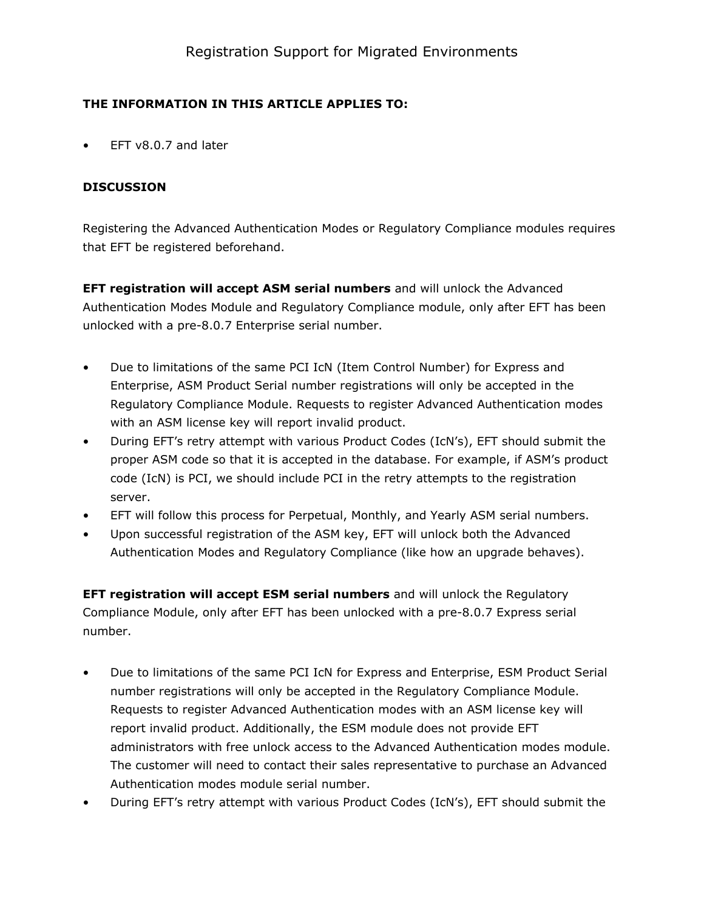## THE INFORMATION IN THIS ARTICLE APPLIES TO:

EFT  $v8.0.7$  and later

## DISCUSSION

Registering the Advanced Authentication Modes or Regulatory Compliance modules requires that EFT be registered beforehand.

EFT registration will accept ASM serial numbers and will unlock the Advanced Authentication Modes Module and Regulatory Compliance module, only after EFT has been unlocked with a pre-8.0.7 Enterprise serial number.

- Due to limitations of the same PCI IcN (Item Control Number) for Express and Enterprise, ASM Product Serial number registrations will only be accepted in the Regulatory Compliance Module. Requests to register Advanced Authentication modes with an ASM license key will report invalid product.
- During EFT's retry attempt with various Product Codes (IcN's), EFT should submit the proper ASM code so that it is accepted in the database. For example, if ASM's product code (IcN) is PCI, we should include PCI in the retry attempts to the registration server.
- EFT will follow this process for Perpetual, Monthly, and Yearly ASM serial numbers.
- Upon successful registration of the ASM key, EFT will unlock both the Advanced Authentication Modes and Regulatory Compliance (like how an upgrade behaves).

EFT registration will accept ESM serial numbers and will unlock the Regulatory Compliance Module, only after EFT has been unlocked with a pre-8.0.7 Express serial number.

- Due to limitations of the same PCI IcN for Express and Enterprise, ESM Product Serial number registrations will only be accepted in the Regulatory Compliance Module. Requests to register Advanced Authentication modes with an ASM license key will report invalid product. Additionally, the ESM module does not provide EFT administrators with free unlock access to the Advanced Authentication modes module. The customer will need to contact their sales representative to purchase an Advanced Authentication modes module serial number.
- During EFT's retry attempt with various Product Codes (IcN's), EFT should submit the